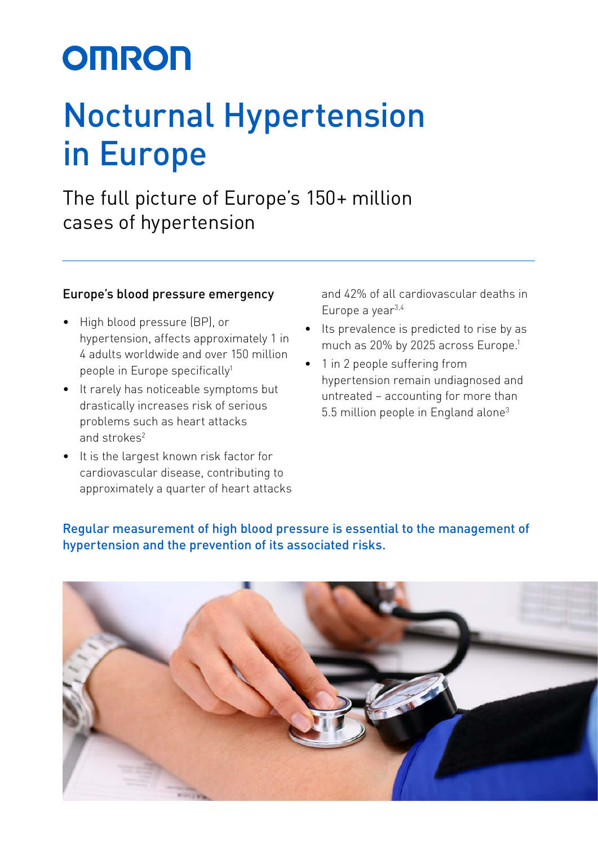# **OMRON**

## Nocturnal Hypertension in Europe

The full picture of Europe's 150+ million cases of hypertension

#### Europe's blood pressure emergency

- High blood pressure (BP), or hypertension, affects approximately 1 in 4 adults worldwide and over 150 million people in Europe specifically<sup>1</sup>
- It rarely has noticeable symptoms but drastically increases risk of serious problems such as heart attacks and strokes2
- It is the largest known risk factor for cardiovascular disease, contributing to approximately a quarter of heart attacks

and 42% of all cardiovascular deaths in Europe a year3,4

- Its prevalence is predicted to rise by as much as 20% by 2025 across Europe.<sup>1</sup>
- 1 in 2 people suffering from hypertension remain undiagnosed and untreated – accounting for more than 5.5 million people in England alone<sup>3</sup>

Regular measurement of high blood pressure is essential to the management of hypertension and the prevention of its associated risks.

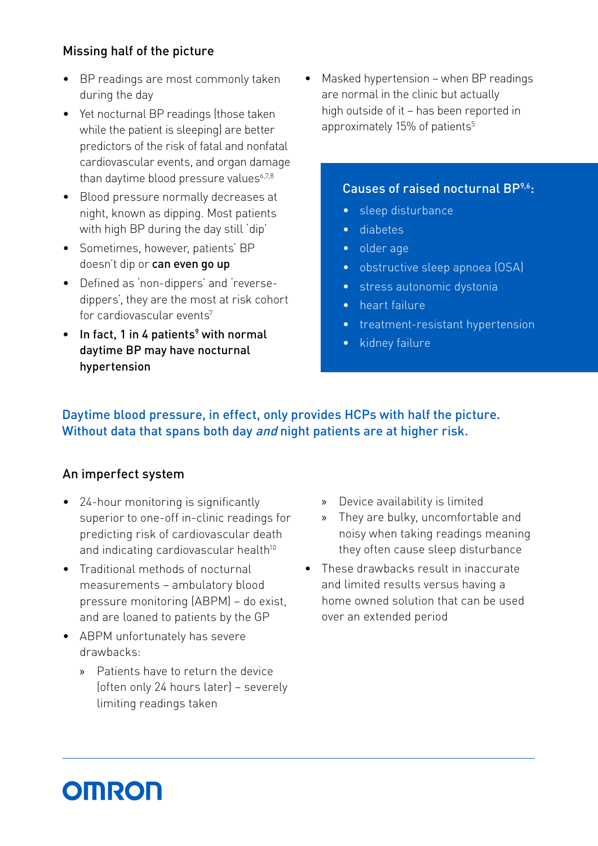#### Missing half of the picture

- BP readings are most commonly taken during the day
- Yet nocturnal BP readings (those taken while the patient is sleeping) are better predictors of the risk of fatal and nonfatal cardiovascular events, and organ damage than daytime blood pressure values $6.7,8$
- Blood pressure normally decreases at night, known as dipping. Most patients with high BP during the day still 'dip'
- Sometimes, however, patients' BP doesn't dip or can even go up
- Defined as 'non-dippers' and 'reversedippers', they are the most at risk cohort for cardiovascular events<sup>7</sup>
- $\bullet$  In fact, 1 in 4 patients<sup>9</sup> with normal daytime BP may have nocturnal hypertension

• Masked hypertension – when BP readings are normal in the clinic but actually high outside of it – has been reported in approximately 15% of patients<sup>5</sup>

#### Causes of raised nocturnal BP<sup>9,6</sup>:

- sleep disturbance
- diabetes
- older age
- obstructive sleep apnoea (OSA)
- stress autonomic dystonia
- heart failure
- treatment-resistant hypertension
- kidney failure

#### Daytime blood pressure, in effect, only provides HCPs with half the picture. Without data that spans both day and night patients are at higher risk.

#### An imperfect system

- 24-hour monitoring is significantly superior to one-off in-clinic readings for predicting risk of cardiovascular death and indicating cardiovascular health<sup>10</sup>
- Traditional methods of nocturnal measurements – ambulatory blood pressure monitoring (ABPM) – do exist, and are loaned to patients by the GP
- ABPM unfortunately has severe drawbacks:
	- » Patients have to return the device (often only 24 hours later) – severely limiting readings taken
- » Device availability is limited
- » They are bulky, uncomfortable and noisy when taking readings meaning they often cause sleep disturbance
- These drawbacks result in inaccurate and limited results versus having a home owned solution that can be used over an extended period

### **OMRON**